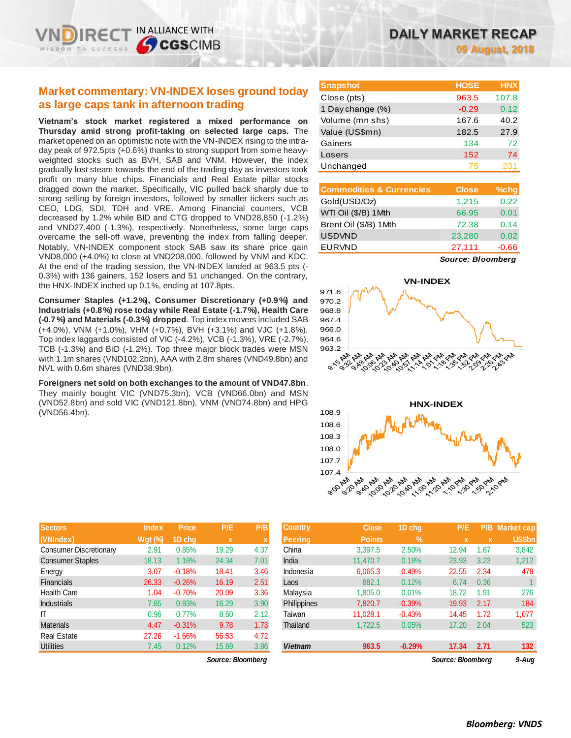# **Market commentary: VN-INDEX loses ground today as large caps tank in afternoon trading**

**Vietnam's stock market registered a mixed performance on Thursday amid strong profit-taking on selected large caps.** The market opened on an optimistic note with the VN-INDEX rising to the intraday peak of 972.5pts (+0.6%) thanks to strong support from some heavyweighted stocks such as BVH, SAB and VNM. However, the index gradually lost steam towards the end of the trading day as investors took profit on many blue chips. Financials and Real Estate pillar stocks dragged down the market. Specifically, VIC pulled back sharply due to strong selling by foreign investors, followed by smaller tickers such as CEO, LDG, SDI, TDH and VRE. Among Financial counters, VCB decreased by 1.2% while BID and CTG dropped to VND28,850 (-1.2%) and VND27,400 (-1.3%), respectively. Nonetheless, some large caps overcame the sell-off wave, preventing the index from falling deeper. Notably, VN-INDEX component stock SAB saw its share price gain VND8,000 (+4.0%) to close at VND208,000, followed by VNM and KDC. At the end of the trading session, the VN-INDEX landed at 963.5 pts (- 0.3%) with 136 gainers, 152 losers and 51 unchanged. On the contrary, the HNX-INDEX inched up 0.1%, ending at 107.8pts.

**Consumer Staples (+1.2%), Consumer Discretionary (+0.9%) and Industrials (+0.8%) rose today while Real Estate (-1.7%), Health Care (-0.7%) and Materials (-0.3%) dropped**. Top index movers included SAB (+4.0%), VNM (+1.0%), VHM (+0.7%), BVH (+3.1%) and VJC (+1.8%). Top index laggards consisted of VIC (-4.2%), VCB (-1.3%), VRE (-2.7%), TCB (-1.3%) and BID (-1.2%). Top three major block trades were MSN with 1.1m shares (VND102.2bn), AAA with 2.8m shares (VND49.8bn) and NVL with 0.6m shares (VND38.9bn).

**Foreigners net sold on both exchanges to the amount of VND47.8bn**. They mainly bought VIC (VND75.3bn), VCB (VND66.0bn) and MSN (VND52.8bn) and sold VIC (VND121.8bn), VNM (VND74.8bn) and HPG (VND56.4bn).

| DAILY MARKET RECAP |  |                        |
|--------------------|--|------------------------|
|                    |  | <b>09 August, 2018</b> |

| <b>Snapshot</b>  | <b>HOSE</b> | <b>HNX</b> |
|------------------|-------------|------------|
| Close (pts)      | 963.5       | 107.8      |
| 1 Day change (%) | $-0.29$     | 0.12       |
| Volume (mn shs)  | 167.6       | 40.2       |
| Value (US\$mn)   | 182.5       | 27.9       |
| Gainers          | 134         | 72         |
| Losers           | 152         | 74         |
| Unchanged        | 75          | 231        |

| <b>Commodities &amp; Currencies</b> | <b>Close</b> | $%$ chg |
|-------------------------------------|--------------|---------|
| Gold(USD/Oz)                        | 1,215        | 0.22    |
| WTI Oil (\$/B) 1Mth                 | 66.95        | 0.01    |
| Brent Oil (\$/B) 1Mth               | 72.38        | 0.14    |
| <b>USDVND</b>                       | 23,280       | 0.02    |
| <b>EURVND</b>                       | 27,111       | $-0.66$ |

*Source: Bloomberg*





| Sectors                       | <b>Index</b> | <b>Price</b> | <b>P/E</b>  | P/B          |
|-------------------------------|--------------|--------------|-------------|--------------|
| (VNIndex)                     | Wgt (%)      | 1D chq       | $\mathbf x$ | $\mathbf{x}$ |
| <b>Consumer Discretionary</b> | 2.91         | 0.85%        | 19.29       | 4.37         |
| <b>Consumer Staples</b>       | 18.13        | 1.18%        | 24.34       | 7.01         |
| Energy                        | 3.07         | $-0.18%$     | 18.41       | 3.46         |
| <b>Financials</b>             | 26.33        | $-0.26%$     | 16.19       | 2.51         |
| <b>Health Care</b>            | 1.04         | $-0.70%$     | 20.09       | 3.36         |
| <b>Industrials</b>            | 7.85         | 0.83%        | 16.29       | 3.90         |
| IΤ                            | 0.96         | 0.77%        | 8.60        | 2.12         |
| <b>Materials</b>              | 4.47         | $-0.31%$     | 9.78        | 1.73         |
| <b>Real Estate</b>            | 27.26        | $-1.66%$     | 56.53       | 4.72         |
| <b>Utilities</b>              | 7.45         | 0.12%        | 15.69       | 3.86         |

 $Source: Bloomberq$ 

| <b>Sectors</b>          | <b>Index</b>   | <b>Price</b> | P/E         | P/B  | <b>Country</b>     | <b>Close</b>  | 1D chq   | P/E               | P/B  | <b>Market cap</b> |
|-------------------------|----------------|--------------|-------------|------|--------------------|---------------|----------|-------------------|------|-------------------|
| (VNIndex)               | <b>Wgt</b> (%) | 1D chq       | $\mathbf x$ |      | <b>Peering</b>     | <b>Points</b> | $\%$     |                   |      | US\$bn            |
| Consumer Discretionary  | 2.91           | 0.85%        | 19.29       | 4.37 | China              | 3,397.5       | 2.50%    | 12.94             | 1.67 | 3,842             |
| <b>Consumer Staples</b> | 18.13          | 1.18%        | 24.34       | 7.01 | India              | 11.470.7      | 0.18%    | 23.93             | 3.23 | 1,212             |
| Energy                  | 3.07           | $-0.18%$     | 18.41       | 3.46 | Indonesia          | 6,065.3       | $-0.49%$ | 22.55             | 2.34 | 478               |
| <b>Financials</b>       | 26.33          | $-0.26%$     | 16.19       | 2.51 | Laos               | 882.1         | 0.12%    | 6.74              | 0.36 |                   |
| Health Care             | 1.04           | $-0.70%$     | 20.09       | 3.36 | Malaysia           | 1,805.0       | 0.01%    | 18.72             | 1.91 | 276               |
| <b>Industrials</b>      | 7.85           | 0.83%        | 16.29       | 3.90 | <b>Philippines</b> | 7,820.7       | $-0.39%$ | 19.93             | 2.17 | 184               |
| ΙT                      | 0.96           | 0.77%        | 8.60        | 2.12 | Taiwan             | 11.028.1      | $-0.43%$ | 14.45             | 1.72 | 1,077             |
| <b>Materials</b>        | 4.47           | $-0.31%$     | 9.78        | 1.73 | Thailand           | 1,722.5       | 0.05%    | 17.20             | 2.04 | 523               |
| Real Estate             | 27.26          | $-1.66%$     | 56.53       | 4.72 |                    |               |          |                   |      |                   |
| <b>Utilities</b>        | 7.45           | 0.12%        | 15.69       | 3.86 | <b>Vietnam</b>     | 963.5         | $-0.29%$ | 17.34             | 2.71 | 132               |
| Source: Bloombera       |                |              |             |      |                    |               |          | Source: Bloombera |      | $9 - Aug$         |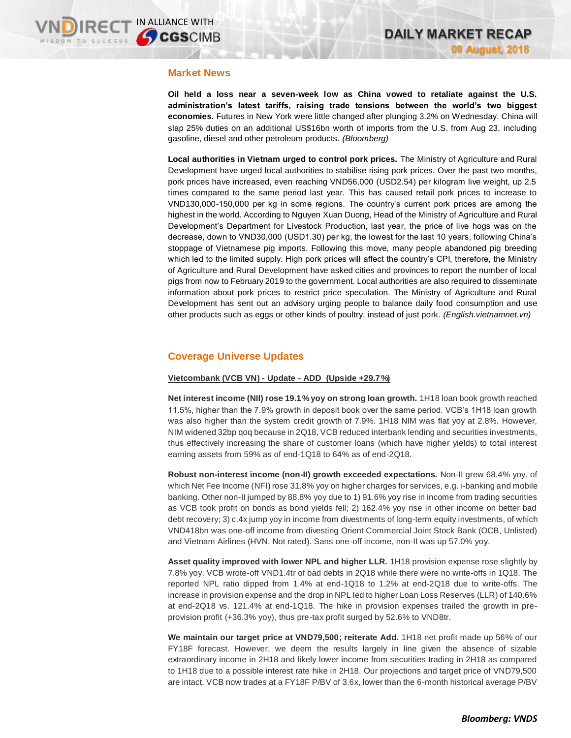## **Market News**

**Oil held a loss near a seven-week low as China vowed to retaliate against the U.S. administration's latest tariffs, raising trade tensions between the world's two biggest economies.** Futures in New York were little changed after plunging 3.2% on Wednesday. China will slap 25% duties on an additional US\$16bn worth of imports from the U.S. from Aug 23, including gasoline, diesel and other petroleum products. *(Bloomberg)*

**Local authorities in Vietnam urged to control pork prices.** The Ministry of Agriculture and Rural Development have urged local authorities to stabilise rising pork prices. Over the past two months, pork prices have increased, even reaching VND56,000 (USD2.54) per kilogram live weight, up 2.5 times compared to the same period last year. This has caused retail pork prices to increase to VND130,000-150,000 per kg in some regions. The country's current pork prices are among the highest in the world. According to Nguyen Xuan Duong, Head of the Ministry of Agriculture and Rural Development's Department for Livestock Production, last year, the price of live hogs was on the decrease, down to VND30,000 (USD1.30) per kg, the lowest for the last 10 years, following China's stoppage of Vietnamese pig imports. Following this move, many people abandoned pig breeding which led to the limited supply. High pork prices will affect the country's CPI, therefore, the Ministry of Agriculture and Rural Development have asked cities and provinces to report the number of local pigs from now to February 2019 to the government. Local authorities are also required to disseminate information about pork prices to restrict price speculation. The Ministry of Agriculture and Rural Development has sent out an advisory urging people to balance daily food consumption and use other products such as eggs or other kinds of poultry, instead of just pork. *(English.vietnamnet.vn)*

# **Coverage Universe Updates**

## **Vietcombank (VCB VN) - Update - ADD (Upside +29.7%)**

**Net interest income (NII) rose 19.1% yoy on strong loan growth.** 1H18 loan book growth reached 11.5%, higher than the 7.9% growth in deposit book over the same period. VCB's 1H18 loan growth was also higher than the system credit growth of 7.9%. 1H18 NIM was flat yoy at 2.8%. However, NIM widened 32bp qoq because in 2Q18, VCB reduced interbank lending and securities investments, thus effectively increasing the share of customer loans (which have higher yields) to total interest earning assets from 59% as of end-1Q18 to 64% as of end-2Q18.

**Robust non-interest income (non-II) growth exceeded expectations.** Non-II grew 68.4% yoy, of which Net Fee Income (NFI) rose 31.8% yoy on higher charges for services, e.g. i-banking and mobile banking. Other non-II jumped by 88.8% yoy due to 1) 91.6% yoy rise in income from trading securities as VCB took profit on bonds as bond yields fell; 2) 162.4% yoy rise in other income on better bad debt recovery; 3) c.4x jump yoy in income from divestments of long-term equity investments, of which VND418bn was one-off income from divesting Orient Commercial Joint Stock Bank (OCB, Unlisted) and Vietnam Airlines (HVN, Not rated). Sans one-off income, non-II was up 57.0% yoy.

**Asset quality improved with lower NPL and higher LLR.** 1H18 provision expense rose slightly by 7.8% yoy. VCB wrote-off VND1.4tr of bad debts in 2Q18 while there were no write-offs in 1Q18. The reported NPL ratio dipped from 1.4% at end-1Q18 to 1.2% at end-2Q18 due to write-offs. The increase in provision expense and the drop in NPL led to higher Loan Loss Reserves (LLR) of 140.6% at end-2Q18 vs. 121.4% at end-1Q18. The hike in provision expenses trailed the growth in preprovision profit (+36.3% yoy), thus pre-tax profit surged by 52.6% to VND8tr.

**We maintain our target price at VND79,500; reiterate Add.** 1H18 net profit made up 56% of our FY18F forecast. However, we deem the results largely in line given the absence of sizable extraordinary income in 2H18 and likely lower income from securities trading in 2H18 as compared to 1H18 due to a possible interest rate hike in 2H18. Our projections and target price of VND79,500 are intact. VCB now trades at a FY18F P/BV of 3.6x, lower than the 6-month historical average P/BV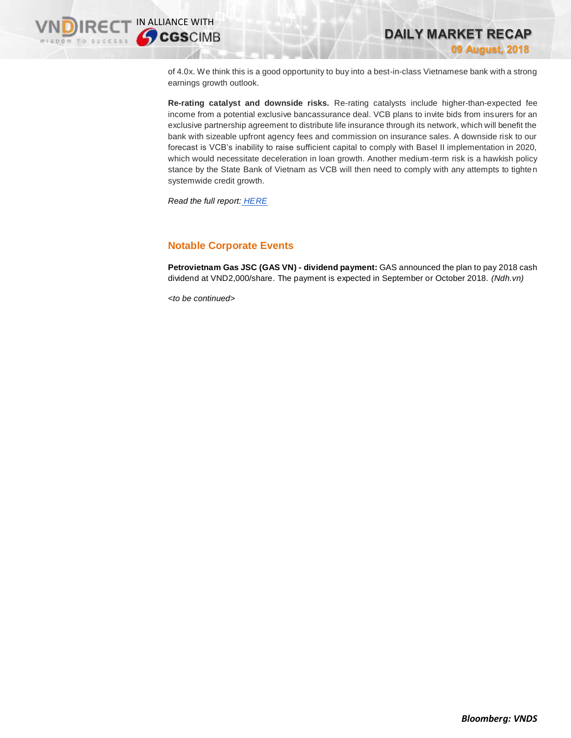

of 4.0x. We think this is a good opportunity to buy into a best-in-class Vietnamese bank with a strong earnings growth outlook.

**Re-rating catalyst and downside risks.** Re-rating catalysts include higher-than-expected fee income from a potential exclusive bancassurance deal. VCB plans to invite bids from insurers for an exclusive partnership agreement to distribute life insurance through its network, which will benefit the bank with sizeable upfront agency fees and commission on insurance sales. A downside risk to our forecast is VCB's inability to raise sufficient capital to comply with Basel II implementation in 2020, which would necessitate deceleration in loan growth. Another medium-term risk is a hawkish policy stance by the State Bank of Vietnam as VCB will then need to comply with any attempts to tighten systemwide credit growth.

*Read the full report: [HERE](https://static-02.vndirect.com.vn/uploads/prod/VCB_Update_20180809_Add.pdf)*

# **Notable Corporate Events**

**Petrovietnam Gas JSC (GAS VN) - dividend payment:** GAS announced the plan to pay 2018 cash dividend at VND2,000/share. The payment is expected in September or October 2018. *(Ndh.vn)*

*<to be continued>*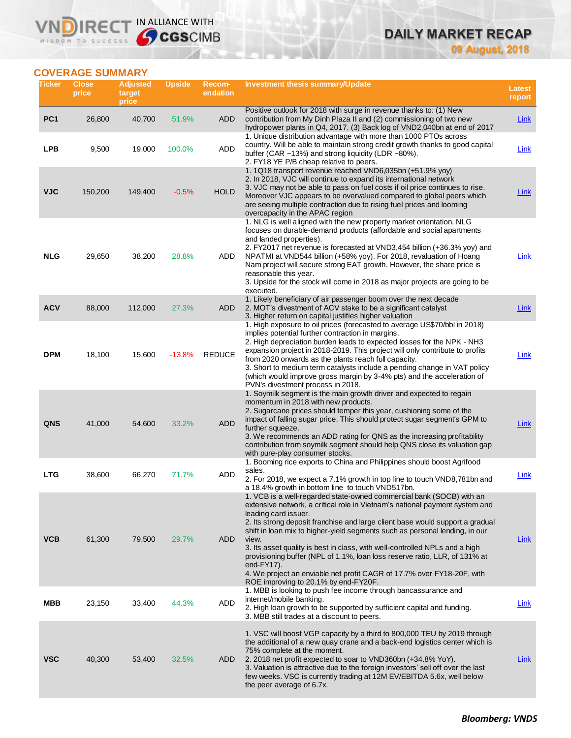# **DAILY MARKET RECAP**

**09 August, 2018**

# **COVERAGE SUMMARY**

**VNDIRECT IN ALLIANCE WITH** 

| Ticker          | <b>Close</b><br>price | Adjusted<br>target<br>price | <b>Upside</b> | Recom-<br>endation | Investment thesis summary/Update                                                                                                                                                                                                                                                                                                                                                                                                                                                                                                                                                                                                                      | Latest<br>report |
|-----------------|-----------------------|-----------------------------|---------------|--------------------|-------------------------------------------------------------------------------------------------------------------------------------------------------------------------------------------------------------------------------------------------------------------------------------------------------------------------------------------------------------------------------------------------------------------------------------------------------------------------------------------------------------------------------------------------------------------------------------------------------------------------------------------------------|------------------|
| PC <sub>1</sub> | 26,800                | 40,700                      | 51.9%         | <b>ADD</b>         | Positive outlook for 2018 with surge in revenue thanks to: (1) New<br>contribution from My Dinh Plaza II and (2) commissioning of two new<br>hydropower plants in Q4, 2017. (3) Back log of VND2,040bn at end of 2017                                                                                                                                                                                                                                                                                                                                                                                                                                 | <b>Link</b>      |
| <b>LPB</b>      | 9,500                 | 19,000                      | 100.0%        | <b>ADD</b>         | 1. Unique distribution advantage with more than 1000 PTOs across<br>country. Will be able to maintain strong credit growth thanks to good capital<br>buffer (CAR ~13%) and strong liquidity (LDR ~80%).<br>2. FY18 YE P/B cheap relative to peers.                                                                                                                                                                                                                                                                                                                                                                                                    | Link             |
| <b>VJC</b>      | 150,200               | 149,400                     | $-0.5%$       | <b>HOLD</b>        | 1. 1Q18 transport revenue reached VND6,035bn (+51.9% yoy)<br>2. In 2018, VJC will continue to expand its international network<br>3. VJC may not be able to pass on fuel costs if oil price continues to rise.<br>Moreover VJC appears to be overvalued compared to global peers which<br>are seeing multiple contraction due to rising fuel prices and looming<br>overcapacity in the APAC region                                                                                                                                                                                                                                                    | <b>Link</b>      |
| <b>NLG</b>      | 29,650                | 38,200                      | 28.8%         | ADD                | 1. NLG is well aligned with the new property market orientation. NLG<br>focuses on durable-demand products (affordable and social apartments<br>and landed properties).<br>2. FY2017 net revenue is forecasted at VND3,454 billion (+36.3% yoy) and<br>NPATMI at VND544 billion (+58% yoy). For 2018, revaluation of Hoang<br>Nam project will secure strong EAT growth. However, the share price is<br>reasonable this year.<br>3. Upside for the stock will come in 2018 as major projects are going to be<br>executed.                                                                                                                             | Link             |
| <b>ACV</b>      | 88,000                | 112,000                     | 27.3%         | <b>ADD</b>         | 1. Likely beneficiary of air passenger boom over the next decade<br>2. MOT's divestment of ACV stake to be a significant catalyst<br>3. Higher return on capital justifies higher valuation                                                                                                                                                                                                                                                                                                                                                                                                                                                           | <b>Link</b>      |
| <b>DPM</b>      | 18,100                | 15,600                      | $-13.8%$      | <b>REDUCE</b>      | 1. High exposure to oil prices (forecasted to average US\$70/bbl in 2018)<br>implies potential further contraction in margins.<br>2. High depreciation burden leads to expected losses for the NPK - NH3<br>expansion project in 2018-2019. This project will only contribute to profits<br>from 2020 onwards as the plants reach full capacity.<br>3. Short to medium term catalysts include a pending change in VAT policy<br>(which would improve gross margin by 3-4% pts) and the acceleration of<br>PVN's divestment process in 2018.                                                                                                           | Link             |
| <b>QNS</b>      | 41,000                | 54,600                      | 33.2%         | <b>ADD</b>         | 1. Soymilk segment is the main growth driver and expected to regain<br>momentum in 2018 with new products.<br>2. Sugarcane prices should temper this year, cushioning some of the<br>impact of falling sugar price. This should protect sugar segment's GPM to<br>further squeeze.<br>3. We recommends an ADD rating for QNS as the increasing profitability<br>contribution from soymilk segment should help QNS close its valuation gap<br>with pure-play consumer stocks.                                                                                                                                                                          | <b>Link</b>      |
| <b>LTG</b>      | 38,600                | 66,270                      | 71.7%         | ADD                | 1. Booming rice exports to China and Philippines should boost Agrifood<br>sales.<br>2. For 2018, we expect a 7.1% growth in top line to touch VND8,781bn and<br>a 18.4% growth in bottom line to touch VND517bn.                                                                                                                                                                                                                                                                                                                                                                                                                                      | Link             |
| <b>VCB</b>      | 61,300                | 79,500                      | 29.7%         | <b>ADD</b>         | 1. VCB is a well-regarded state-owned commercial bank (SOCB) with an<br>extensive network, a critical role in Vietnam's national payment system and<br>leading card issuer.<br>2. Its strong deposit franchise and large client base would support a gradual<br>shift in loan mix to higher-yield segments such as personal lending, in our<br>view.<br>3. Its asset quality is best in class, with well-controlled NPLs and a high<br>provisioning buffer (NPL of 1.1%, loan loss reserve ratio, LLR, of 131% at<br>end- $FY17$ ).<br>4. We project an enviable net profit CAGR of 17.7% over FY18-20F, with<br>ROE improving to 20.1% by end-FY20F. | Link             |
| MBB             | 23,150                | 33,400                      | 44.3%         | ADD                | 1. MBB is looking to push fee income through bancassurance and<br>internet/mobile banking.<br>2. High loan growth to be supported by sufficient capital and funding.<br>3. MBB still trades at a discount to peers.                                                                                                                                                                                                                                                                                                                                                                                                                                   | Link             |
| <b>VSC</b>      | 40,300                | 53,400                      | 32.5%         | ADD                | 1. VSC will boost VGP capacity by a third to 800,000 TEU by 2019 through<br>the additional of a new quay crane and a back-end logistics center which is<br>75% complete at the moment.<br>2. 2018 net profit expected to soar to VND360bn (+34.8% YoY).<br>3. Valuation is attractive due to the foreign investors' sell off over the last<br>few weeks. VSC is currently trading at 12M EV/EBITDA 5.6x, well below<br>the peer average of 6.7x.                                                                                                                                                                                                      | Link             |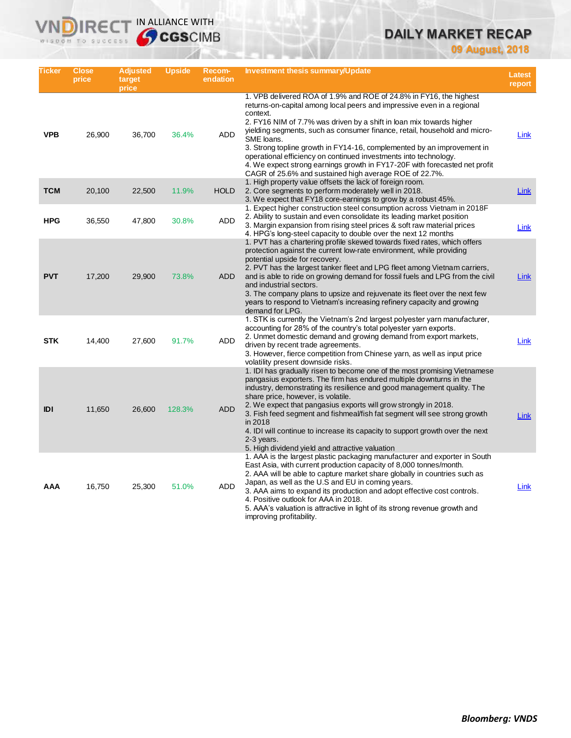# **DAILY MARKET RECAP**

**09 August, 2018**

| Ticker     | Close<br>price | <b>Adjusted</b><br>target<br>price | <b>Upside</b> | Recom-<br>endation | Investment thesis summary/Update                                                                                                                                                                                                                                                                                                                                                                                                                                                                                                                                                                                  | <b>Latest</b><br>report |
|------------|----------------|------------------------------------|---------------|--------------------|-------------------------------------------------------------------------------------------------------------------------------------------------------------------------------------------------------------------------------------------------------------------------------------------------------------------------------------------------------------------------------------------------------------------------------------------------------------------------------------------------------------------------------------------------------------------------------------------------------------------|-------------------------|
| <b>VPB</b> | 26,900         | 36,700                             | 36.4%         | <b>ADD</b>         | 1. VPB delivered ROA of 1.9% and ROE of 24.8% in FY16, the highest<br>returns-on-capital among local peers and impressive even in a regional<br>context.<br>2. FY16 NIM of 7.7% was driven by a shift in loan mix towards higher<br>yielding segments, such as consumer finance, retail, household and micro-<br>SME loans.<br>3. Strong topline growth in FY14-16, complemented by an improvement in<br>operational efficiency on continued investments into technology.<br>4. We expect strong earnings growth in FY17-20F with forecasted net profit<br>CAGR of 25.6% and sustained high average ROE of 22.7%. | Link                    |
| <b>TCM</b> | 20,100         | 22,500                             | 11.9%         | <b>HOLD</b>        | 1. High property value offsets the lack of foreign room.<br>2. Core segments to perform moderately well in 2018.<br>3. We expect that FY18 core-earnings to grow by a robust 45%.                                                                                                                                                                                                                                                                                                                                                                                                                                 | <b>Link</b>             |
| <b>HPG</b> | 36,550         | 47,800                             | 30.8%         | <b>ADD</b>         | 1. Expect higher construction steel consumption across Vietnam in 2018F<br>2. Ability to sustain and even consolidate its leading market position<br>3. Margin expansion from rising steel prices & soft raw material prices<br>4. HPG's long-steel capacity to double over the next 12 months                                                                                                                                                                                                                                                                                                                    | Link                    |
| <b>PVT</b> | 17,200         | 29,900                             | 73.8%         | <b>ADD</b>         | 1. PVT has a chartering profile skewed towards fixed rates, which offers<br>protection against the current low-rate environment, while providing<br>potential upside for recovery.<br>2. PVT has the largest tanker fleet and LPG fleet among Vietnam carriers,<br>and is able to ride on growing demand for fossil fuels and LPG from the civil<br>and industrial sectors.<br>3. The company plans to upsize and rejuvenate its fleet over the next few<br>years to respond to Vietnam's increasing refinery capacity and growing<br>demand for LPG.                                                             | Link                    |
| <b>STK</b> | 14,400         | 27,600                             | 91.7%         | <b>ADD</b>         | 1. STK is currently the Vietnam's 2nd largest polyester yarn manufacturer,<br>accounting for 28% of the country's total polyester yarn exports.<br>2. Unmet domestic demand and growing demand from export markets,<br>driven by recent trade agreements.<br>3. However, fierce competition from Chinese yarn, as well as input price<br>volatility present downside risks.                                                                                                                                                                                                                                       | Link                    |
| <b>IDI</b> | 11,650         | 26,600                             | 128.3%        | <b>ADD</b>         | 1. IDI has gradually risen to become one of the most promising Vietnamese<br>pangasius exporters. The firm has endured multiple downturns in the<br>industry, demonstrating its resilience and good management quality. The<br>share price, however, is volatile.<br>2. We expect that pangasius exports will grow strongly in 2018.<br>3. Fish feed segment and fishmeal/fish fat segment will see strong growth<br>in 2018<br>4. IDI will continue to increase its capacity to support growth over the next<br>2-3 years.<br>5. High dividend yield and attractive valuation                                    | Link                    |
| AAA        | 16,750         | 25,300                             | 51.0%         | ADD                | 1. AAA is the largest plastic packaging manufacturer and exporter in South<br>East Asia, with current production capacity of 8,000 tonnes/month.<br>2. AAA will be able to capture market share globally in countries such as<br>Japan, as well as the U.S and EU in coming years.<br>3. AAA aims to expand its production and adopt effective cost controls.<br>4. Positive outlook for AAA in 2018.<br>5. AAA's valuation is attractive in light of its strong revenue growth and<br>improving profitability.                                                                                                   | Link                    |

**VNDIRECT IN ALLIANCE WITH**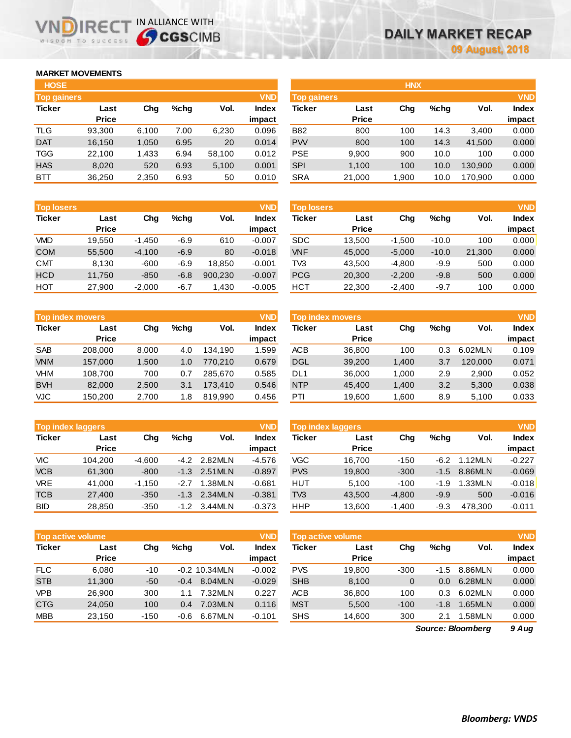## **MARKET MOVEMENTS**

WISDOM TO SUCCESS

וחו

**IRE** 

| <b>HOSE</b>        |        |       |      |        |              |
|--------------------|--------|-------|------|--------|--------------|
| <b>Top gainers</b> |        |       |      |        | <b>VND</b>   |
| <b>Ticker</b>      | Last   | Cha   | %chq | Vol.   | <b>Index</b> |
|                    | Price  |       |      |        | impact       |
| TLG                | 93,300 | 6,100 | 7.00 | 6,230  | 0.096        |
| <b>DAT</b>         | 16,150 | 1,050 | 6.95 | 20     | 0.014        |
| <b>TGG</b>         | 22,100 | 1,433 | 6.94 | 58,100 | 0.012        |
| <b>HAS</b>         | 8,020  | 520   | 6.93 | 5,100  | 0.001        |
| BTT                | 36,250 | 2,350 | 6.93 | 50     | 0.010        |

IN ALLIANCE WITH

| <b>VND</b>           |
|----------------------|
| Vol.<br><b>Index</b> |
| impact               |
| 0.000<br>3.400       |
| 0.000<br>41,500      |
| 0.000<br>100         |
| 0.000<br>130.900     |
| 170,900<br>0.000     |
|                      |

| <b>Top losers</b> |              |          |         |         | <b>VND</b>   |
|-------------------|--------------|----------|---------|---------|--------------|
| <b>Ticker</b>     | Last         | Cha      | $%$ chq | Vol.    | <b>Index</b> |
|                   | <b>Price</b> |          |         |         | impact       |
| VMD               | 19.550       | $-1,450$ | $-6.9$  | 610     | $-0.007$     |
| <b>COM</b>        | 55.500       | $-4,100$ | $-6.9$  | 80      | $-0.018$     |
| <b>CMT</b>        | 8,130        | $-600$   | $-6.9$  | 18.850  | $-0.001$     |
| <b>HCD</b>        | 11,750       | $-850$   | $-6.8$  | 900,230 | $-0.007$     |
| HOT               | 27,900       | $-2,000$ | $-6.7$  | 1,430   | $-0.005$     |

| <b>VND</b><br><b>Top index movers</b> |              |       |         |         |              |  |  |
|---------------------------------------|--------------|-------|---------|---------|--------------|--|--|
| <b>Ticker</b>                         | Last         | Cha   | $%$ chq | Vol.    | <b>Index</b> |  |  |
|                                       | <b>Price</b> |       |         |         | impact       |  |  |
| <b>SAB</b>                            | 208,000      | 8,000 | 4.0     | 134.190 | 1.599        |  |  |
| <b>VNM</b>                            | 157,000      | 1,500 | 1.0     | 770.210 | 0.679        |  |  |
| VHM                                   | 108,700      | 700   | 0.7     | 285,670 | 0.585        |  |  |
| <b>BVH</b>                            | 82,000       | 2,500 | 3.1     | 173.410 | 0.546        |  |  |
| <b>VJC</b>                            | 150,200      | 2,700 | 1.8     | 819,990 | 0.456        |  |  |

| <b>Top index laggers</b> |              |          |         |         |          |  |  |
|--------------------------|--------------|----------|---------|---------|----------|--|--|
| <b>Ticker</b>            | Last         | Cha      | $%$ chq | Vol.    | Index    |  |  |
|                          | <b>Price</b> |          |         |         | impact   |  |  |
| VIC                      | 104,200      | $-4,600$ | $-4.2$  | 2.82MLN | $-4.576$ |  |  |
| <b>VCB</b>               | 61,300       | $-800$   | $-1.3$  | 2.51MLN | $-0.897$ |  |  |
| <b>VRE</b>               | 41,000       | $-1,150$ | $-2.7$  | 1.38MLN | $-0.681$ |  |  |
| <b>TCB</b>               | 27,400       | $-350$   | $-1.3$  | 2.34MLN | $-0.381$ |  |  |
| <b>BID</b>               | 28,850       | $-350$   | $-1.2$  | 3.44MLN | $-0.373$ |  |  |

|               | <b>Top active volume</b> |        |         |                 | <b>VND</b>   |
|---------------|--------------------------|--------|---------|-----------------|--------------|
| <b>Ticker</b> | Last                     | Cha    | $%$ chq | Vol.            | <b>Index</b> |
|               | <b>Price</b>             |        |         |                 | impact       |
| <b>FLC</b>    | 6,080                    | $-10$  |         | $-0.2$ 10.34MLN | $-0.002$     |
| <b>STB</b>    | 11,300                   | -50    | $-0.4$  | 8.04MLN         | $-0.029$     |
| <b>VPB</b>    | 26,900                   | 300    | 1.1     | 7.32MLN         | 0.227        |
| <b>CTG</b>    | 24,050                   | 100    | 0.4     | 7.03MLN         | 0.116        |
| <b>MBB</b>    | 23,150                   | $-150$ | $-0.6$  | 6.67MLN         | $-0.101$     |

| <b>Top losers</b> |              |          |         |         | <b>VND</b>   | <b>Top losers</b> |              |          |         |        | <b>VND</b>   |
|-------------------|--------------|----------|---------|---------|--------------|-------------------|--------------|----------|---------|--------|--------------|
| Ticker            | Last         | Chg      | $%$ chq | Vol.    | <b>Index</b> | Ticker            | Last         | Chg      | $%$ chq | Vol.   | <b>Index</b> |
|                   | <b>Price</b> |          |         |         | impact       |                   | <b>Price</b> |          |         |        | impact       |
| VMD               | 19.550       | $-1.450$ | $-6.9$  | 610     | $-0.007$     | <b>SDC</b>        | 13.500       | $-1.500$ | $-10.0$ | 100    | 0.000        |
| COM               | 55,500       | $-4,100$ | $-6.9$  | 80      | $-0.018$     | <b>VNF</b>        | 45,000       | $-5,000$ | $-10.0$ | 21,300 | 0.000        |
| CMT               | 8,130        | $-600$   | $-6.9$  | 18.850  | $-0.001$     | TV3               | 43,500       | -4.800   | $-9.9$  | 500    | 0.000        |
| HCD               | 11.750       | $-850$   | $-6.8$  | 900.230 | $-0.007$     | <b>PCG</b>        | 20,300       | $-2.200$ | $-9.8$  | 500    | 0.000        |
| нот               | 27,900       | $-2,000$ | $-6.7$  | 1,430   | $-0.005$     | <b>HCT</b>        | 22,300       | $-2,400$ | $-9.7$  | 100    | 0.000        |

| <b>Top index movers</b> |              |       |         |         | <b>VND</b> | Top index movers |              |        |      |         | <b>VND</b> |
|-------------------------|--------------|-------|---------|---------|------------|------------------|--------------|--------|------|---------|------------|
| Ticker                  | Last         | Chg   | $%$ chq | Vol.    | Index      | <b>Ticker</b>    | Last         | Chg    | %chq | Vol.    | Index      |
|                         | <b>Price</b> |       |         |         | impact     |                  | <b>Price</b> |        |      |         | impact     |
| <b>SAB</b>              | 208,000      | 8.000 | 4.0     | 134.190 | 1.599      | <b>ACB</b>       | 36,800       | 100    | 0.3  | 6.02MLN | 0.109      |
| <b>VNM</b>              | 157,000      | 1,500 | 1.0     | 770.210 | 0.679      | <b>DGL</b>       | 39,200       | 1,400  | 3.7  | 120,000 | 0.071      |
| VHM                     | 108.700      | 700   | 0.7     | 285,670 | 0.585      | DL1              | 36,000       | 1.000  | 2.9  | 2.900   | 0.052      |
| <b>BVH</b>              | 82,000       | 2,500 | 3.1     | 173,410 | 0.546      | <b>NTP</b>       | 45.400       | 1,400  | 3.2  | 5,300   | 0.038      |
| VJC                     | 150.200      | 2,700 | 1.8     | 819.990 | 0.456      | PTI              | 19,600       | 600. ا | 8.9  | 5.100   | 0.033      |

|            | <b>Top index laggers</b> |          |         |         | <b>VND</b> | Top index laggers |              |          |        |         | <b>VND</b>   |
|------------|--------------------------|----------|---------|---------|------------|-------------------|--------------|----------|--------|---------|--------------|
| Ticker     | Last                     | Chg      | $%$ chq | Vol.    | Index      | Ticker            | Last         | Chg      | %chq   | Vol.    | <b>Index</b> |
|            | <b>Price</b>             |          |         |         | impact     |                   | <b>Price</b> |          |        |         | impact       |
| VIC        | 104.200                  | $-4.600$ | $-4.2$  | 2.82MLN | $-4.576$   | VGC               | 16.700       | $-150$   | $-6.2$ | 1.12MLN | $-0.227$     |
| <b>VCB</b> | 61.300                   | $-800$   | $-1.3$  | 2.51MLN | $-0.897$   | <b>PVS</b>        | 19,800       | $-300$   | $-1.5$ | 8.86MLN | $-0.069$     |
| VRE        | 41.000                   | $-1.150$ | $-2.7$  | 1.38MLN | $-0.681$   | <b>HUT</b>        | 5.100        | $-100$   | $-1.9$ | 1.33MLN | $-0.018$     |
| TCB        | 27,400                   | $-350$   | $-1.3$  | 2.34MLN | $-0.381$   | TV <sub>3</sub>   | 43,500       | $-4.800$ | $-9.9$ | 500     | $-0.016$     |
| BID        | 28.850                   | $-350$   | $-1.2$  | 3.44MLN | $-0.373$   | <b>HHP</b>        | 13.600       | $-1.400$ | $-9.3$ | 478.300 | $-0.011$     |

|            | <b>Top active volume</b> |        |               |                 | <b>VND</b> | <b>Top active volume</b> |              |        |        |         | <b>VND</b>   |
|------------|--------------------------|--------|---------------|-----------------|------------|--------------------------|--------------|--------|--------|---------|--------------|
| Ticker     | Last                     | Chg    | $%$ chq       | Vol.            | Index      | <b>Ticker</b>            | Last         | Chg    | %chq   | Vol.    | <b>Index</b> |
|            | <b>Price</b>             |        |               |                 | impact     |                          | <b>Price</b> |        |        |         | impact       |
| <b>FLC</b> | 6.080                    | $-10$  |               | $-0.2$ 10.34MLN | $-0.002$   | <b>PVS</b>               | 19.800       | $-300$ | $-1.5$ | 8.86MLN | 0.000        |
| <b>STB</b> | 11.300                   | $-50$  | $-0.4$        | 8.04MLN         | $-0.029$   | <b>SHB</b>               | 8.100        | 0      | 0.0    | 6.28MLN | 0.000        |
| <b>VPB</b> | 26,900                   | 300    | 1.1           | 7.32MLN         | 0.227      | <b>ACB</b>               | 36,800       | 100    | 0.3    | 6.02MLN | 0.000        |
| <b>CTG</b> | 24.050                   | 100    | $0.4^{\circ}$ | 7.03MLN         | 0.116      | <b>MST</b>               | 5.500        | $-100$ | $-1.8$ | 1.65MLN | 0.000        |
| MBB        | 23,150                   | $-150$ | $-0.6$        | 6.67MLN         | $-0.101$   | <b>SHS</b>               | 14,600       | 300    | 2.1    | .58MLN  | 0.000        |
|            |                          |        |               |                 |            |                          |              |        |        |         |              |

*9 Aug Source: Bloomberg*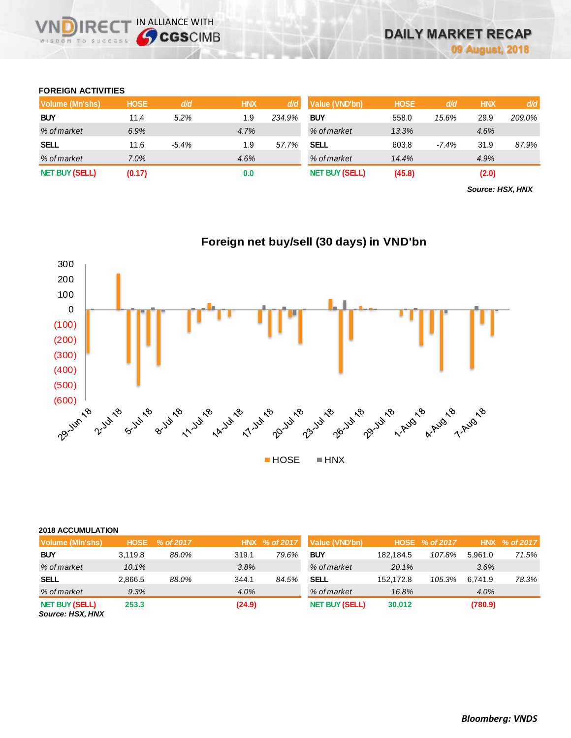## **FOREIGN ACTIVITIES**

WISDOM TO SUCCESS

**VNDIRECT IN ALLIANCE WITH** 

| Volume (Mn'shs)       | <b>HOSE</b> | d/d     | <b>HNX</b> | d/d    | Value (VND'bn)        | <b>HOSE</b> | d/d      | <b>HNX</b> | d/d    |
|-----------------------|-------------|---------|------------|--------|-----------------------|-------------|----------|------------|--------|
| <b>BUY</b>            | 11.4        | 5.2%    | 1.9        | 234.9% | <b>BUY</b>            | 558.0       | 15.6%    | 29.9       | 209.0% |
| % of market           | 6.9%        |         | 4.7%       |        | % of market           | 13.3%       |          | 4.6%       |        |
| <b>SELL</b>           | 11.6        | $-5.4%$ | 1.9        | 57.7%  | SELL                  | 603.8       | $-7.4\%$ | 31.9       | 87.9%  |
| % of market           | 7.0%        |         | 4.6%       |        | % of market           | 14.4%       |          | 4.9%       |        |
| <b>NET BUY (SELL)</b> | (0.17)      |         | 0.0        |        | <b>NET BUY (SELL)</b> | (45.8)      |          | (2.0)      |        |

*Source: HSX, HNX*



# **Foreign net buy/sell (30 days) in VND'bn**

### **2018 ACCUMULATION**

| Volume (MIn'shs)                          | <b>HOSE</b> | % of 2017 |        | HNX % of 2017 | Value (VND'bn)        |           | HOSE % of 2017 |         | HNX % of 2017 |
|-------------------------------------------|-------------|-----------|--------|---------------|-----------------------|-----------|----------------|---------|---------------|
| <b>BUY</b>                                | 3.119.8     | 88.0%     | 319.1  | 79.6%         | <b>BUY</b>            | 182.184.5 | 107.8%         | 5.961.0 | 71.5%         |
| % of market                               | 10.1%       |           | 3.8%   |               | % of market           | 20.1%     |                | 3.6%    |               |
| <b>SELL</b>                               | 2,866.5     | 88.0%     | 344.1  | 84.5%         | <b>SELL</b>           | 152.172.8 | 105.3%         | 6.741.9 | 78.3%         |
| % of market                               | 9.3%        |           | 4.0%   |               | % of market           | 16.8%     |                | 4.0%    |               |
| <b>NET BUY (SELL)</b><br>Source: HSX, HNX | 253.3       |           | (24.9) |               | <b>NET BUY (SELL)</b> | 30,012    |                | (780.9) |               |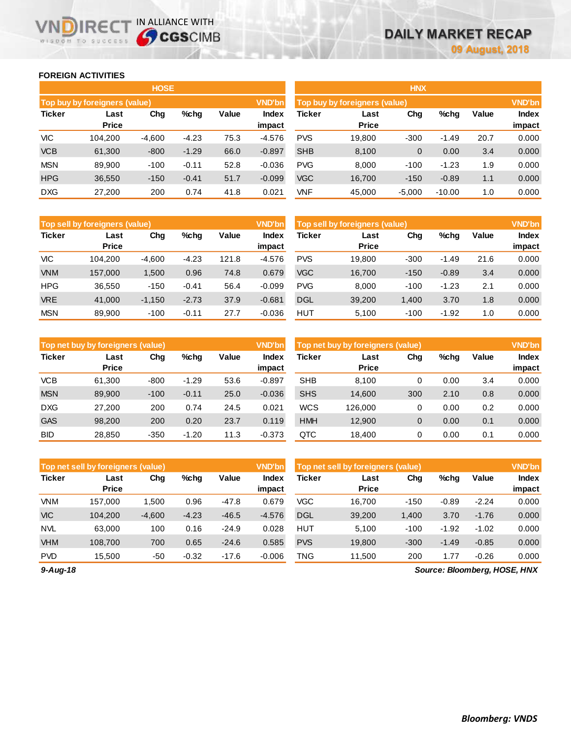## **FOREIGN ACTIVITIES**

WISDOM TO SUCCESS

**VNDIRECT IN ALLIANCE WITH** 

|               |                               | <b>HOSE</b> |         |       |                 |            |                               | <b>HNX</b>  |          |       |                 |
|---------------|-------------------------------|-------------|---------|-------|-----------------|------------|-------------------------------|-------------|----------|-------|-----------------|
|               | Top buy by foreigners (value) |             |         |       | <b>VND'bn</b>   |            | Top buy by foreigners (value) |             |          |       | <b>VND'bn</b>   |
| <b>Ticker</b> | Last<br><b>Price</b>          | Chg         | $%$ chg | Value | Index<br>impact | Ticker     | Last<br><b>Price</b>          | Chg         | %chg     | Value | Index<br>impact |
| VIC           | 104.200                       | $-4,600$    | $-4.23$ | 75.3  | $-4.576$        | <b>PVS</b> | 19.800                        | $-300$      | $-1.49$  | 20.7  | 0.000           |
| <b>VCB</b>    | 61,300                        | $-800$      | $-1.29$ | 66.0  | $-0.897$        | <b>SHB</b> | 8,100                         | $\mathbf 0$ | 0.00     | 3.4   | 0.000           |
| <b>MSN</b>    | 89,900                        | $-100$      | $-0.11$ | 52.8  | $-0.036$        | <b>PVG</b> | 8.000                         | $-100$      | $-1.23$  | 1.9   | 0.000           |
| <b>HPG</b>    | 36,550                        | $-150$      | $-0.41$ | 51.7  | $-0.099$        | <b>VGC</b> | 16,700                        | $-150$      | $-0.89$  | 1.1   | 0.000           |
| <b>DXG</b>    | 27,200                        | 200         | 0.74    | 41.8  | 0.021           | VNF        | 45.000                        | $-5.000$    | $-10.00$ | 1.0   | 0.000           |

|               |                                                   |          |         |       | <b>VND'bn</b> |            |                                |        |         |       |               |
|---------------|---------------------------------------------------|----------|---------|-------|---------------|------------|--------------------------------|--------|---------|-------|---------------|
|               | Top sell by foreigners (value)<br>$%$ chg<br>Last |          |         |       |               |            | Top sell by foreigners (value) |        |         |       | <b>VND'bn</b> |
| <b>Ticker</b> |                                                   | Chg      |         | Value | Index         | Ticker     | Last                           | Chg    | %chg    | Value | <b>Index</b>  |
|               | <b>Price</b>                                      |          |         |       | impact        |            | <b>Price</b>                   |        |         |       | impact        |
| <b>VIC</b>    | 104.200                                           | $-4.600$ | $-4.23$ | 121.8 | $-4.576$      | <b>PVS</b> | 19.800                         | $-300$ | $-1.49$ | 21.6  | 0.000         |
| <b>VNM</b>    | 157,000                                           | 1,500    | 0.96    | 74.8  | 0.679         | <b>VGC</b> | 16,700                         | $-150$ | $-0.89$ | 3.4   | 0.000         |
| <b>HPG</b>    | 36,550                                            | $-150$   | $-0.41$ | 56.4  | $-0.099$      | <b>PVG</b> | 8.000                          | $-100$ | $-1.23$ | 2.1   | 0.000         |
| <b>VRE</b>    | 41.000                                            | $-1.150$ | $-2.73$ | 37.9  | $-0.681$      | <b>DGL</b> | 39,200                         | 1,400  | 3.70    | 1.8   | 0.000         |
| <b>MSN</b>    | 89.900                                            | $-100$   | $-0.11$ | 27.7  | $-0.036$      | <b>HUT</b> | 5.100                          | $-100$ | $-1.92$ | 1.0   | 0.000         |

|               | Top net buy by foreigners (value) |        |         |       | <b>VND'bn</b>   |            | Top net buy by foreigners (value) |     |      |       | <b>VND'bn</b>          |
|---------------|-----------------------------------|--------|---------|-------|-----------------|------------|-----------------------------------|-----|------|-------|------------------------|
| <b>Ticker</b> | Last<br><b>Price</b>              | Chg    | %chg    | Value | Index<br>impact | Ticker     | Last<br><b>Price</b>              | Chg | %chg | Value | <b>Index</b><br>impact |
| <b>VCB</b>    | 61.300                            | $-800$ | $-1.29$ | 53.6  | $-0.897$        | <b>SHB</b> | 8.100                             | 0   | 0.00 | 3.4   | 0.000                  |
| <b>MSN</b>    | 89.900                            | $-100$ | $-0.11$ | 25.0  | $-0.036$        | <b>SHS</b> | 14.600                            | 300 | 2.10 | 0.8   | 0.000                  |
| <b>DXG</b>    | 27,200                            | 200    | 0.74    | 24.5  | 0.021           | <b>WCS</b> | 126.000                           | 0   | 0.00 | 0.2   | 0.000                  |
| <b>GAS</b>    | 98.200                            | 200    | 0.20    | 23.7  | 0.119           | <b>HMH</b> | 12,900                            | 0   | 0.00 | 0.1   | 0.000                  |
| <b>BID</b>    | 28.850                            | $-350$ | $-1.20$ | 11.3  | $-0.373$        | QTC        | 18.400                            | 0   | 0.00 | 0.1   | 0.000                  |

|               | Top net sell by foreigners (value) |          |         |         | <b>VND'bn</b>   |            | Top net sell by foreigners (value) |        |         |         | <b>VND'bn</b>          |
|---------------|------------------------------------|----------|---------|---------|-----------------|------------|------------------------------------|--------|---------|---------|------------------------|
| <b>Ticker</b> | Last<br><b>Price</b>               | Chg      | %chq    | Value   | Index<br>impact | Ticker     | Last<br><b>Price</b>               | Chg    | %chg    | Value   | <b>Index</b><br>impact |
|               |                                    |          |         |         |                 |            |                                    |        |         |         |                        |
| <b>VNM</b>    | 157.000                            | 1.500    | 0.96    | $-47.8$ | 0.679           | VGC        | 16.700                             | $-150$ | $-0.89$ | $-2.24$ | 0.000                  |
| <b>VIC</b>    | 104.200                            | $-4,600$ | $-4.23$ | $-46.5$ | $-4.576$        | <b>DGL</b> | 39,200                             | 1,400  | 3.70    | $-1.76$ | 0.000                  |
| <b>NVL</b>    | 63,000                             | 100      | 0.16    | $-24.9$ | 0.028           | <b>HUT</b> | 5.100                              | $-100$ | $-1.92$ | $-1.02$ | 0.000                  |
| <b>VHM</b>    | 108.700                            | 700      | 0.65    | $-24.6$ | 0.585           | <b>PVS</b> | 19.800                             | $-300$ | $-1.49$ | $-0.85$ | 0.000                  |
| <b>PVD</b>    | 15,500                             | $-50$    | $-0.32$ | $-17.6$ | $-0.006$        | TNG        | 11,500                             | 200    | 1.77    | $-0.26$ | 0.000                  |

*9-Aug-18*

*Source: Bloomberg, HOSE, HNX*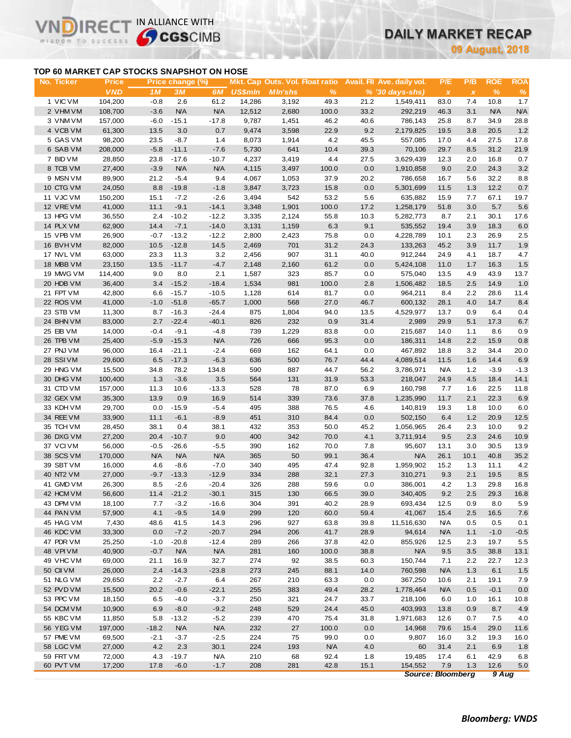# **DAILY MARKET RECAP**

**09 August, 2018**

# **TOP 60 MARKET CAP STOCKS SNAPSHOT ON HOSE**

VI

IR<sub>E</sub>

WISDOM TO SUCCESS

IN ALLIANCE WITH

| No. Ticker      | Price      |            | Price change (%) |            |                |                |            |      | Mkt. Cap Outs. Vol. Float ratio Avail. Fil Ave. daily vol. | P/E                      | P/B          | <b>ROE</b>    | <b>ROA</b> |
|-----------------|------------|------------|------------------|------------|----------------|----------------|------------|------|------------------------------------------------------------|--------------------------|--------------|---------------|------------|
|                 | <b>VND</b> | 1M         | 3M               | 6M         | <b>US\$mln</b> | <b>MIn'shs</b> | %          |      | $% (30 days-shs)$                                          | $\pmb{\times}$           | $\pmb{\chi}$ | $\frac{9}{6}$ | $\%$       |
| 1 VIC VM        | 104,200    | $-0.8$     | 2.6              | 61.2       | 14,286         | 3,192          | 49.3       | 21.2 | 1,549,411                                                  | 83.0                     | 7.4          | 10.8          | 1.7        |
| 2 VHM VM        | 108,700    | $-3.6$     | <b>N/A</b>       | <b>N/A</b> | 12,512         | 2,680          | 100.0      | 33.2 | 292,219                                                    | 46.3                     | 3.1          | <b>N/A</b>    | N/A        |
| 3 VNM VM        | 157,000    | $-6.0$     | $-15.1$          | $-17.8$    | 9,787          | 1,451          | 46.2       | 40.6 | 786,143                                                    | 25.8                     | 8.7          | 34.9          | 28.8       |
| 4 VCB VM        | 61,300     | 13.5       | 3.0              | 0.7        | 9,474          | 3,598          | 22.9       | 9.2  | 2,179,825                                                  | 19.5                     | 3.8          | 20.5          | $1.2$      |
| 5 GAS VM        | 98,200     | 23.5       | $-8.7$           | 1.4        | 8,073          | 1,914          | 4.2        | 45.5 | 557,085                                                    | 17.0                     | 4.4          | 27.5          | 17.8       |
| 6 SAB VM        | 208,000    | $-5.8$     | $-11.1$          | $-7.6$     | 5,730          | 641            | 10.4       | 39.3 | 70,106                                                     | 29.7                     | 8.5          | 31.2          | 21.9       |
| 7 BID VM        | 28,850     | 23.8       | $-17.6$          | $-10.7$    | 4,237          | 3,419          | 4.4        | 27.5 | 3,629,439                                                  | 12.3                     | 2.0          | 16.8          | 0.7        |
| 8 TCB VM        | 27,400     | $-3.9$     | N/A              | <b>N/A</b> | 4,115          | 3,497          | 100.0      | 0.0  | 1,910,858                                                  | 9.0                      | 2.0          | 24.3          | $3.2\,$    |
| 9 MSN VM        | 89,900     | 21.2       | $-5.4$           | 9.4        | 4,067          | 1,053          | 37.9       | 20.2 | 786,658                                                    | 16.7                     | 5.6          | 32.2          | 8.8        |
| 10 CTG VM       | 24,050     | 8.8        | $-19.8$          | $-1.8$     | 3,847          | 3,723          | 15.8       | 0.0  | 5,301,699                                                  | 11.5                     | 1.3          | 12.2          | $0.7\,$    |
| 11 VJC VM       | 150,200    | 15.1       | $-7.2$           | $-2.6$     | 3,494          | 542            | 53.2       | 5.6  | 635,882                                                    | 15.9                     | 7.7          | 67.1          | 19.7       |
| 12 VRE VM       | 41,000     | 11.1       | $-9.1$           | $-14.1$    | 3,348          | 1,901          | 100.0      | 17.2 | 1,258,179                                                  | 51.8                     | 3.0          | 5.7           | 5.6        |
| 13 HPG VM       | 36,550     | 2.4        | $-10.2$          | $-12.2$    | 3,335          | 2,124          | 55.8       | 10.3 | 5,282,773                                                  | 8.7                      | 2.1          | 30.1          | 17.6       |
| 14 PLX VM       | 62,900     | 14.4       | $-7.1$           | $-14.0$    | 3,131          | 1,159          | 6.3        | 9.1  | 535,552                                                    | 19.4                     | 3.9          | 18.3          | $6.0\,$    |
| 15 VPB VM       | 26,900     | $-0.7$     | $-13.2$          | $-12.2$    | 2,800          | 2,423          | 75.8       | 0.0  | 4,228,789                                                  | 10.1                     | 2.3          | 26.9          | 2.5        |
| 16 BVHVM        | 82,000     | 10.5       | $-12.8$          | 14.5       | 2,469          | 701            | 31.2       | 24.3 | 133,263                                                    | 45.2                     | 3.9          | 11.7          | 1.9        |
| 17 NVL VM       | 63,000     | 23.3       | 11.3             | 3.2        | 2,456          | 907            | 31.1       | 40.0 | 912,244                                                    | 24.9                     | 4.1          | 18.7          | 4.7        |
| 18 MBB VM       | 23,150     | 13.5       | $-11.7$          | $-4.7$     | 2,148          | 2,160          | 61.2       | 0.0  | 5,424,108                                                  | 11.0                     | 1.7          | 16.3          | $1.5$      |
| 19 MWG VM       | 114,400    | 9.0        | 8.0              | 2.1        | 1,587          | 323            | 85.7       | 0.0  | 575,040                                                    | 13.5                     | 4.9          | 43.9          | 13.7       |
| 20 HDB VM       | 36,400     | 3.4        | $-15.2$          | $-18.4$    | 1,534          | 981            | 100.0      | 2.8  | 1,506,482                                                  | 18.5                     | 2.5          | 14.9          | 1.0        |
| 21 FPT VM       | 42,800     | 6.6        | $-15.7$          | $-10.5$    | 1,128          | 614            | 81.7       | 0.0  | 964,211                                                    | 8.4                      |              | 28.6          | 11.4       |
| 22 ROS VM       | 41,000     | $-1.0$     | $-51.8$          | $-65.7$    | 1,000          | 568            | 27.0       | 46.7 | 600,132                                                    | 28.1                     | 2.2<br>4.0   | 14.7          | 8.4        |
| 23 STB VM       | 11,300     | 8.7        | $-16.3$          | $-24.4$    | 875            | 1,804          | 94.0       | 13.5 | 4,529,977                                                  | 13.7                     | 0.9          | 6.4           | 0.4        |
|                 |            | 2.7        |                  |            | 826            | 232            | 0.9        |      |                                                            |                          |              |               |            |
| 24 BHN VM       | 83,000     |            | $-22.4$          | $-40.1$    |                |                |            | 31.4 | 2,989                                                      | 29.9<br>14.0             | 5.1          | 17.3          | $6.7\,$    |
| 25 EIB VM       | 14,000     | $-0.4$     | $-9.1$           | $-4.8$     | 739            | 1,229          | 83.8       | 0.0  | 215,687<br>186,311                                         |                          | 1.1          | 8.6           | 0.9        |
| 26 TPB VM       | 25,400     | $-5.9$     | $-15.3$          | <b>N/A</b> | 726            | 666            | 95.3       | 0.0  |                                                            | 14.8                     | 2.2          | 15.9          | $0.8\,$    |
| 27 PNJ VM       | 96,000     | 16.4       | $-21.1$          | $-2.4$     | 669            | 162            | 64.1       | 0.0  | 467,892                                                    | 18.8                     | 3.2          | 34.4          | 20.0       |
| 28 SSIVM        | 29,600     | 6.5        | $-17.3$          | $-6.3$     | 636            | 500            | 76.7       | 44.4 | 4,089,514                                                  | 11.5                     | 1.6          | 14.4          | 6.9        |
| 29 HNG VM       | 15,500     | 34.8       | 78.2             | 134.8      | 590            | 887            | 44.7       | 56.2 | 3,786,971                                                  | <b>N/A</b>               | 1.2          | $-3.9$        | $-1.3$     |
| 30 DHG VM       | 100,400    | 1.3        | $-3.6$           | $3.5\,$    | 564            | 131            | 31.9       | 53.3 | 218,047                                                    | 24.9                     | 4.5          | 18.4          | 14.1       |
| 31 CTD VM       | 157,000    | 11.3       | 10.6             | $-13.3$    | 528            | 78             | 87.0       | 6.9  | 160,798                                                    | 7.7                      | 1.6          | 22.5          | 11.8       |
| 32 GEX VM       | 35,300     | 13.9       | 0.9              | 16.9       | 514            | 339            | 73.6       | 37.8 | 1,235,990                                                  | 11.7                     | 2.1          | 22.3          | $6.9\,$    |
| 33 KDH VM       | 29,700     | 0.0        | $-15.9$          | $-5.4$     | 495            | 388            | 76.5       | 4.6  | 140,819                                                    | 19.3                     | 1.8          | 10.0          | 6.0        |
| 34 REE VM       | 33,900     | 11.1       | $-6.1$           | $-8.9$     | 451            | 310            | 84.4       | 0.0  | 502,150                                                    | 6.4                      | 1.2          | 20.9          | 12.5       |
| 35 TCH VM       | 28,450     | 38.1       | 0.4              | 38.1       | 432            | 353            | 50.0       | 45.2 | 1,056,965                                                  | 26.4                     | 2.3          | 10.0          | 9.2        |
| 36 DXG VM       | 27,200     | 20.4       | $-10.7$          | 9.0        | 400            | 342            | 70.0       | 4.1  | 3,711,914                                                  | 9.5                      | 2.3          | 24.6          | 10.9       |
| 37 VCIVM        | 56,000     | $-0.5$     | $-26.6$          | $-5.5$     | 390            | 162            | 70.0       | 7.8  | 95,607                                                     | 13.1                     | 3.0          | 30.5          | 13.9       |
| 38 SCS VM       | 170,000    | <b>N/A</b> | <b>N/A</b>       | <b>N/A</b> | 365            | 50             | 99.1       | 36.4 | <b>N/A</b>                                                 | 26.1                     | 10.1         | 40.8          | 35.2       |
| 39 SBT VM       | 16,000     | 4.6        | $-8.6$           | $-7.0$     | 340            | 495            | 47.4       | 92.8 | 1,959,902                                                  | 15.2                     | 1.3          | 11.1          | 4.2        |
| 40 NT2 VM       | 27,000     | $-9.7$     | $-13.3$          | $-12.9$    | 334            | 288            | 32.1       | 27.3 | 310,271                                                    | 9.3                      | 2.1          | 19.5          | 8.5        |
| 41 GMD VM       | 26,300     | 8.5        | $-2.6$           | $-20.4$    | 326            | 288            | 59.6       | 0.0  | 386,001                                                    | 4.2                      | 1.3          | 29.8          | 16.8       |
| 42 HCM VM       | 56,600     |            | 11.4 -21.2       | $-30.1$    | 315            | 130            | 66.5       | 39.0 | 340,405                                                    | 9.2                      | 2.5          | 29.3          | 16.8       |
| 43 DPM VM       | 18,100     | 7.7        | $-3.2$           | $-16.6$    | 304            | 391            | 40.2       | 28.9 | 693,434                                                    | 12.5                     | 0.9          | 8.0           | 5.9        |
| 44 PAN VM       | 57,900     | 4.1        | $-9.5$           | 14.9       | 299            | 120            | 60.0       | 59.4 | 41,067                                                     | 15.4                     | $2.5\,$      | 16.5          | 7.6        |
| 45 HAG VM       | 7,430      | 48.6       | 41.5             | 14.3       | 296            | 927            | 63.8       | 39.8 | 11,516,630                                                 | <b>N/A</b>               | 0.5          | 0.5           | 0.1        |
| 46 KDC VM       | 33,300     | 0.0        | $-7.2$           | $-20.7$    | 294            | 206            | 41.7       | 28.9 | 94,614                                                     | <b>N/A</b>               | 1.1          | $-1.0$        | $-0.5$     |
| 47 PDR VM       | 25,250     | $-1.0$     | $-20.8$          | $-12.4$    | 289            | 266            | 37.8       | 42.0 | 855,926                                                    | 12.5                     | 2.3          | 19.7          | 5.5        |
| <b>48 VPIVM</b> | 40,900     | $-0.7$     | <b>N/A</b>       | <b>N/A</b> | 281            | 160            | 100.0      | 38.8 | <b>N/A</b>                                                 | 9.5                      | 3.5          | 38.8          | 13.1       |
| 49 VHC VM       | 69,000     | 21.1       | 16.9             | 32.7       | 274            | 92             | 38.5       | 60.3 | 150,744                                                    | 7.1                      | 2.2          | 22.7          | 12.3       |
| 50 CII VM       | 26,000     | 2.4        | $-14.3$          | $-23.8$    | 273            | 245            | 88.1       | 14.0 | 760,598                                                    | <b>N/A</b>               | 1.3          | 6.1           | $1.5$      |
| 51 NLG VM       | 29,650     | 2.2        | $-2.7$           | 6.4        | 267            | 210            | 63.3       | 0.0  | 367,250                                                    | 10.6                     | 2.1          | 19.1          | 7.9        |
| 52 PVD VM       | 15,500     | 20.2       | $-0.6$           | $-22.1$    | 255            | 383            | 49.4       | 28.2 | 1,778,464                                                  | <b>N/A</b>               | 0.5          | $-0.1$        | 0.0        |
| 53 PPC VM       | 18,150     | 6.5        | $-4.0$           | $-3.7$     | 250            | 321            | 24.7       | 33.7 | 218,106                                                    | 6.0                      | 1.0          | 16.1          | 10.8       |
| 54 DCM VM       | 10,900     | 6.9        | $-8.0$           | $-9.2$     | 248            | 529            | 24.4       | 45.0 | 403,993                                                    | 13.8                     | 0.9          | 8.7           | 4.9        |
| 55 KBC VM       | 11,850     | 5.8        | $-13.2$          | $-5.2$     | 239            | 470            | 75.4       | 31.8 | 1,971,683                                                  | 12.6                     | 0.7          | 7.5           | 4.0        |
| 56 YEG VM       | 197,000    | $-18.2$    | <b>N/A</b>       | N/A        | 232            | 27             | 100.0      | 0.0  | 14,968                                                     | 79.6                     | 15.4         | 29.0          | 11.6       |
| 57 PME VM       | 69,500     | $-2.1$     | $-3.7$           | $-2.5$     | 224            | 75             | 99.0       | 0.0  | 9,807                                                      | 16.0                     | 3.2          | 19.3          | 16.0       |
| 58 LGC VM       | 27,000     | 4.2        | 2.3              | 30.1       | 224            | 193            | <b>N/A</b> | 4.0  | 60                                                         | 31.4                     | 2.1          | 6.9           | 1.8        |
| 59 FRT VM       | 72,000     | 4.3        | $-19.7$          | N/A        | 210            | 68             | 92.4       | 1.8  | 19,485                                                     | 17.4                     | 6.1          | 42.9          | 6.8        |
| 60 PVT VM       | 17,200     | 17.8       | $-6.0$           | $-1.7$     | 208            | 281            | 42.8       | 15.1 | 154,552                                                    | 7.9                      | 1.3          | 12.6          | 5.0        |
|                 |            |            |                  |            |                |                |            |      |                                                            | <b>Source: Bloomberg</b> |              | 9 Aug         |            |